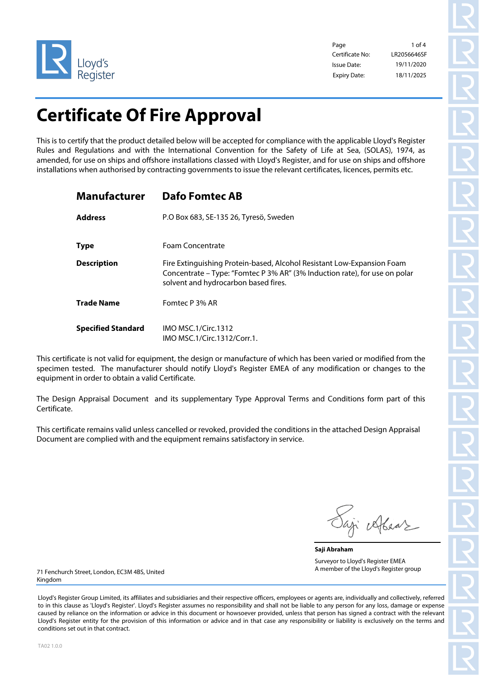

Page 1 of 4 Certificate No: Issue Date: Expiry Date: 18/11/2025

19/11/2020 LR2056646SF

# **Certificate Of Fire Approval**

This is to certify that the product detailed below will be accepted for compliance with the applicable Lloyd's Register Rules and Regulations and with the International Convention for the Safety of Life at Sea, (SOLAS), 1974, as amended, for use on ships and offshore installations classed with Lloyd's Register, and for use on ships and offshore installations when authorised by contracting governments to issue the relevant certificates, licences, permits etc.

| <b>Manufacturer</b>       | <b>Dafo Fomtec AB</b>                                                                                                                                                                        |
|---------------------------|----------------------------------------------------------------------------------------------------------------------------------------------------------------------------------------------|
| <b>Address</b>            | P.O Box 683, SE-135 26, Tyresö, Sweden                                                                                                                                                       |
| <b>Type</b>               | Foam Concentrate                                                                                                                                                                             |
| <b>Description</b>        | Fire Extinguishing Protein-based, Alcohol Resistant Low-Expansion Foam<br>Concentrate – Type: "Fomtec P 3% AR" (3% Induction rate), for use on polar<br>solvent and hydrocarbon based fires. |
| <b>Trade Name</b>         | Fomtec P 3% AR                                                                                                                                                                               |
| <b>Specified Standard</b> | <b>IMO MSC.1/Circ.1312</b><br>IMO MSC.1/Circ.1312/Corr.1.                                                                                                                                    |

This certificate is not valid for equipment, the design or manufacture of which has been varied or modified from the specimen tested. The manufacturer should notify Lloyd's Register EMEA of any modification or changes to the equipment in order to obtain a valid Certificate.

The Design Appraisal Document and its supplementary Type Approval Terms and Conditions form part of this Certificate.

This certificate remains valid unless cancelled or revoked, provided the conditions in the attached Design Appraisal Document are complied with and the equipment remains satisfactory in service.

ji elkear

**Saji Abraham** Surveyor to Lloyd's Register EMEA A member of the Lloyd's Register group

71 Fenchurch Street, London, EC3M 4BS, United Kingdom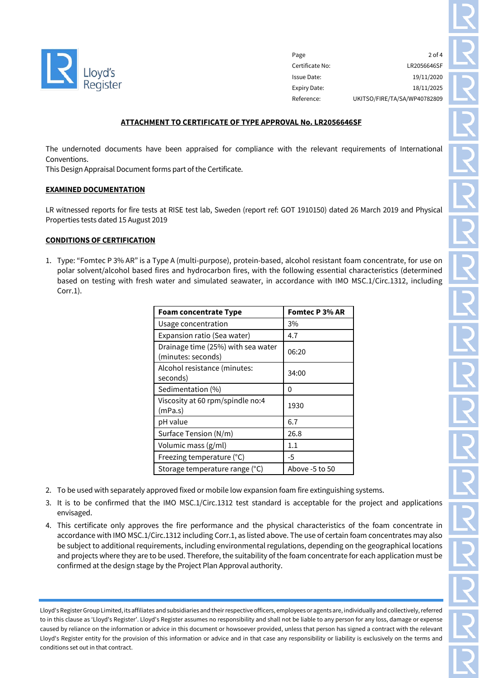

Page 2 of 4 Certificate No: LR2056646SF Issue Date: 19/11/2020 Expiry Date: 18/11/2025 Reference: UKITSO/FIRE/TA/SA/WP40782809

### **ATTACHMENT TO CERTIFICATE OF TYPE APPROVAL No. LR2056646SF**

The undernoted documents have been appraised for compliance with the relevant requirements of International Conventions.

This Design Appraisal Document forms part of the Certificate.

#### **EXAMINED DOCUMENTATION**

LR witnessed reports for fire tests at RISE test lab, Sweden (report ref: GOT 1910150) dated 26 March 2019 and Physical Properties tests dated 15 August 2019

#### **CONDITIONS OF CERTIFICATION**

1. Type: "Fomtec P 3% AR" is a Type A (multi-purpose), protein-based, alcohol resistant foam concentrate, for use on polar solvent/alcohol based fires and hydrocarbon fires, with the following essential characteristics (determined based on testing with fresh water and simulated seawater, in accordance with IMO MSC.1/Circ.1312, including Corr.1).

| <b>Foam concentrate Type</b>                             | <b>Fomtec P 3% AR</b> |
|----------------------------------------------------------|-----------------------|
| Usage concentration                                      | 3%                    |
| Expansion ratio (Sea water)                              | 4.7                   |
| Drainage time (25%) with sea water<br>(minutes: seconds) | 06:20                 |
| Alcohol resistance (minutes:<br>seconds)                 | 34:00                 |
| Sedimentation (%)                                        | 0                     |
| Viscosity at 60 rpm/spindle no:4<br>(mPa.s)              | 1930                  |
| pH value                                                 | 6.7                   |
| Surface Tension (N/m)                                    | 26.8                  |
| Volumic mass (g/ml)                                      | 1.1                   |
| Freezing temperature (°C)                                | -5                    |
| Storage temperature range (°C)                           | Above -5 to 50        |

- 2. To be used with separately approved fixed or mobile low expansion foam fire extinguishing systems.
- 3. It is to be confirmed that the IMO MSC.1/Circ.1312 test standard is acceptable for the project and applications envisaged.
- 4. This certificate only approves the fire performance and the physical characteristics of the foam concentrate in accordance with IMO MSC.1/Circ.1312 including Corr.1, as listed above. The use of certain foam concentrates may also be subject to additional requirements, including environmental regulations, depending on the geographical locations and projects where they are to be used. Therefore, the suitability of the foam concentrate for each application must be confirmed at the design stage by the Project Plan Approval authority.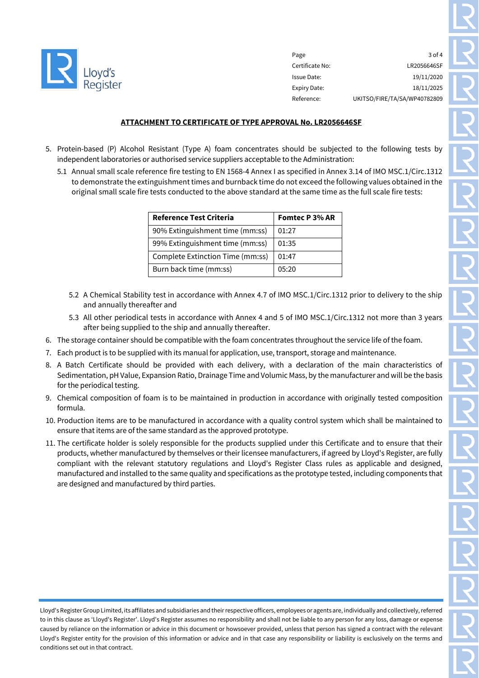

Page 3 of 4 Certificate No: LR2056646SF Issue Date: 19/11/2020 Expiry Date: 18/11/2025 Reference: UKITSO/FIRE/TA/SA/WP40782809

# **ATTACHMENT TO CERTIFICATE OF TYPE APPROVAL No. LR2056646SF**

- 5. Protein-based (P) Alcohol Resistant (Type A) foam concentrates should be subjected to the following tests by independent laboratories or authorised service suppliers acceptable to the Administration:
	- 5.1 Annual small scale reference fire testing to EN 1568-4 Annex I as specified in Annex 3.14 of IMO MSC.1/Circ.1312 to demonstrate the extinguishment times and burnback time do not exceed the following values obtained in the original small scale fire tests conducted to the above standard at the same time as the full scale fire tests:

| <b>Reference Test Criteria</b>   | Fomtec P 3% AR |
|----------------------------------|----------------|
| 90% Extinguishment time (mm:ss)  | 01:27          |
| 99% Extinguishment time (mm:ss)  | 01:35          |
| Complete Extinction Time (mm:ss) | 01:47          |
| Burn back time (mm:ss)           | 05:20          |

- 5.2 A Chemical Stability test in accordance with Annex 4.7 of IMO MSC.1/Circ.1312 prior to delivery to the ship and annually thereafter and
- 5.3 All other periodical tests in accordance with Annex 4 and 5 of IMO MSC.1/Circ.1312 not more than 3 years after being supplied to the ship and annually thereafter.
- 6. The storage container should be compatible with the foam concentrates throughout the service life of the foam.
- 7. Each product is to be supplied with its manual for application, use, transport, storage and maintenance.
- 8. A Batch Certificate should be provided with each delivery, with a declaration of the main characteristics of Sedimentation, pH Value, Expansion Ratio, Drainage Time and Volumic Mass, by the manufacturer and will be the basis for the periodical testing.
- 9. Chemical composition of foam is to be maintained in production in accordance with originally tested composition formula.
- 10. Production items are to be manufactured in accordance with a quality control system which shall be maintained to ensure that items are of the same standard as the approved prototype.
- 11. The certificate holder is solely responsible for the products supplied under this Certificate and to ensure that their products, whether manufactured by themselves or their licensee manufacturers, if agreed by Lloyd's Register, are fully compliant with the relevant statutory regulations and Lloyd's Register Class rules as applicable and designed, manufactured and installed to the same quality and specifications as the prototype tested, including components that are designed and manufactured by third parties.